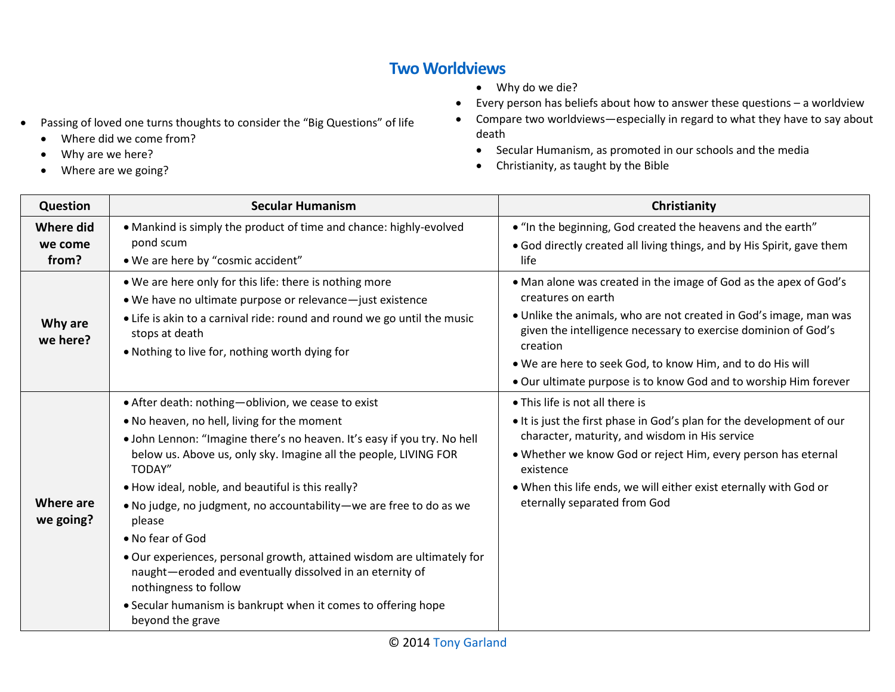## **Two Worldviews**

• Why do we die?

 $\overline{\phantom{a}}$ 

- Every person has beliefs about how to answer these questions a worldview
	- Compare two worldviews-especially in regard to what they have to say about death
		- Secular Humanism, as promoted in our schools and the media
		- Christianity, as taught by the Bible

| Question                             | <b>Secular Humanism</b>                                                                                                                                                                                                                                                                                                                                                                                                                                                                                                                                                                                                                                                  | Christianity                                                                                                                                                                                                                                                                                                                                                                |
|--------------------------------------|--------------------------------------------------------------------------------------------------------------------------------------------------------------------------------------------------------------------------------------------------------------------------------------------------------------------------------------------------------------------------------------------------------------------------------------------------------------------------------------------------------------------------------------------------------------------------------------------------------------------------------------------------------------------------|-----------------------------------------------------------------------------------------------------------------------------------------------------------------------------------------------------------------------------------------------------------------------------------------------------------------------------------------------------------------------------|
| <b>Where did</b><br>we come<br>from? | • Mankind is simply the product of time and chance: highly-evolved<br>pond scum<br>• We are here by "cosmic accident"                                                                                                                                                                                                                                                                                                                                                                                                                                                                                                                                                    | • "In the beginning, God created the heavens and the earth"<br>. God directly created all living things, and by His Spirit, gave them<br>life                                                                                                                                                                                                                               |
| Why are<br>we here?                  | . We are here only for this life: there is nothing more<br>• We have no ultimate purpose or relevance-just existence<br>• Life is akin to a carnival ride: round and round we go until the music<br>stops at death<br>• Nothing to live for, nothing worth dying for                                                                                                                                                                                                                                                                                                                                                                                                     | • Man alone was created in the image of God as the apex of God's<br>creatures on earth<br>• Unlike the animals, who are not created in God's image, man was<br>given the intelligence necessary to exercise dominion of God's<br>creation<br>. We are here to seek God, to know Him, and to do His will<br>• Our ultimate purpose is to know God and to worship Him forever |
| Where are<br>we going?               | • After death: nothing-oblivion, we cease to exist<br>. No heaven, no hell, living for the moment<br>. John Lennon: "Imagine there's no heaven. It's easy if you try. No hell<br>below us. Above us, only sky. Imagine all the people, LIVING FOR<br>TODAY"<br>. How ideal, noble, and beautiful is this really?<br>. No judge, no judgment, no accountability-we are free to do as we<br>please<br>• No fear of God<br>. Our experiences, personal growth, attained wisdom are ultimately for<br>naught-eroded and eventually dissolved in an eternity of<br>nothingness to follow<br>• Secular humanism is bankrupt when it comes to offering hope<br>beyond the grave | • This life is not all there is<br>• It is just the first phase in God's plan for the development of our<br>character, maturity, and wisdom in His service<br>. Whether we know God or reject Him, every person has eternal<br>existence<br>. When this life ends, we will either exist eternally with God or<br>eternally separated from God                               |

- Passing of loved one turns thoughts to consider the "Big Questions" of life  $\bullet$ 
	- Where did we come from?
	- Why are we here?  $\bullet$

 $\Gamma$ 

• Where are we going?